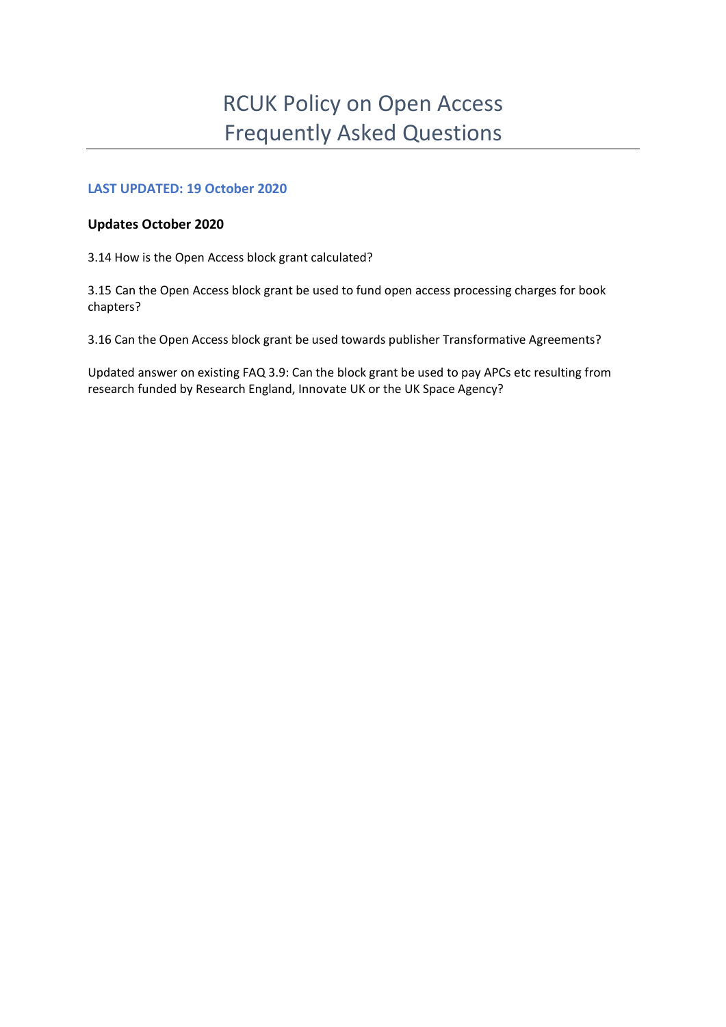# **LAST UPDATED: 19 October 2020**

# **Updates October 2020**

3.14 How is the Open Access block grant calculated?

3.15 Can the Open Access block grant be used to fund open access processing charges for book chapters?

3.16 Can the Open Access block grant be used towards publisher Transformative Agreements?

Updated answer on existing FAQ 3.9: Can the block grant be used to pay APCs etc resulting from research funded by Research England, Innovate UK or the UK Space Agency?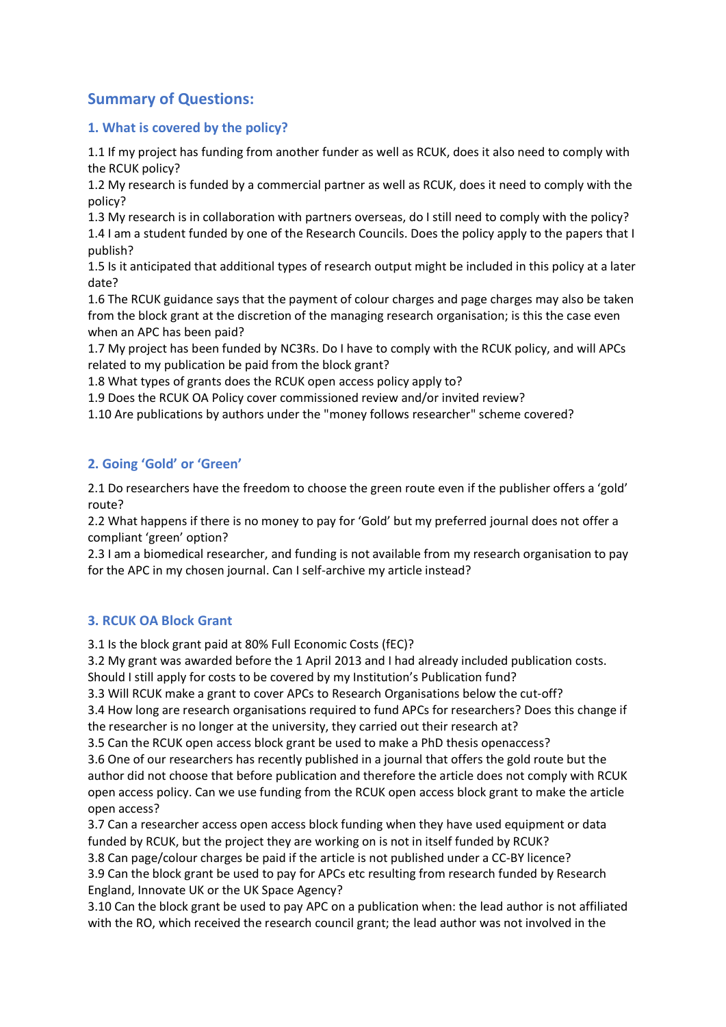# **Summary of Questions:**

# **1. What is covered by the policy?**

1.1 If my project has funding from another funder as well as RCUK, does it also need to comply with the RCUK policy?

1.2 My research is funded by a commercial partner as well as RCUK, does it need to comply with the policy?

1.3 My research is in collaboration with partners overseas, do I still need to comply with the policy?

1.4 I am a student funded by one of the Research Councils. Does the policy apply to the papers that I publish?

1.5 Is it anticipated that additional types of research output might be included in this policy at a later date?

1.6 The RCUK guidance says that the payment of colour charges and page charges may also be taken from the block grant at the discretion of the managing research organisation; is this the case even when an APC has been paid?

1.7 My project has been funded by NC3Rs. Do I have to comply with the RCUK policy, and will APCs related to my publication be paid from the block grant?

1.8 What types of grants does the RCUK open access policy apply to?

1.9 Does the RCUK OA Policy cover commissioned review and/or invited review?

1.10 Are publications by authors under the "money follows researcher" scheme covered?

# **2. Going 'Gold' or 'Green'**

2.1 Do researchers have the freedom to choose the green route even if the publisher offers a 'gold' route?

2.2 What happens if there is no money to pay for 'Gold' but my preferred journal does not offer a compliant 'green' option?

2.3 I am a biomedical researcher, and funding is not available from my research organisation to pay for the APC in my chosen journal. Can I self-archive my article instead?

# **3. RCUK OA Block Grant**

3.1 Is the block grant paid at 80% Full Economic Costs (fEC)?

3.2 My grant was awarded before the 1 April 2013 and I had already included publication costs. Should I still apply for costs to be covered by my Institution's Publication fund?

3.3 Will RCUK make a grant to cover APCs to Research Organisations below the cut-off?

3.4 How long are research organisations required to fund APCs for researchers? Does this change if the researcher is no longer at the university, they carried out their research at?

3.5 Can the RCUK open access block grant be used to make a PhD thesis openaccess?

3.6 One of our researchers has recently published in a journal that offers the gold route but the author did not choose that before publication and therefore the article does not comply with RCUK open access policy. Can we use funding from the RCUK open access block grant to make the article open access?

3.7 Can a researcher access open access block funding when they have used equipment or data funded by RCUK, but the project they are working on is not in itself funded by RCUK?

3.8 Can page/colour charges be paid if the article is not published under a CC-BY licence?

3.9 Can the block grant be used to pay for APCs etc resulting from research funded by Research England, Innovate UK or the UK Space Agency?

3.10 Can the block grant be used to pay APC on a publication when: the lead author is not affiliated with the RO, which received the research council grant; the lead author was not involved in the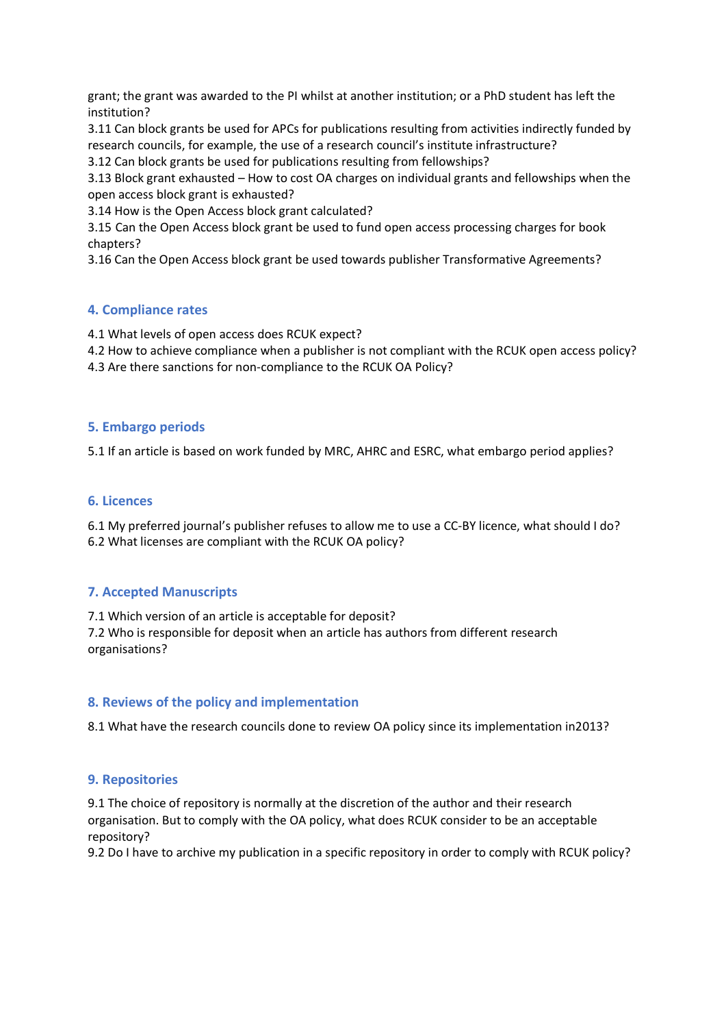grant; the grant was awarded to the PI whilst at another institution; or a PhD student has left the institution?

3.11 Can block grants be used for APCs for publications resulting from activities indirectly funded by research councils, for example, the use of a research council's institute infrastructure?

3.12 Can block grants be used for publications resulting from fellowships?

3.13 Block grant exhausted – How to cost OA charges on individual grants and fellowships when the open access block grant is exhausted?

3.14 How is the Open Access block grant calculated?

3.15 Can the Open Access block grant be used to fund open access processing charges for book chapters?

3.16 Can the Open Access block grant be used towards publisher Transformative Agreements?

# **4. Compliance rates**

4.1 What levels of open access does RCUK expect?

4.2 How to achieve compliance when a publisher is not compliant with the RCUK open access policy?

4.3 Are there sanctions for non-compliance to the RCUK OA Policy?

## **5. Embargo periods**

5.1 If an article is based on work funded by MRC, AHRC and ESRC, what embargo period applies?

## **6. Licences**

6.1 My preferred journal's publisher refuses to allow me to use a CC-BY licence, what should I do? 6.2 What licenses are compliant with the RCUK OA policy?

# **7. Accepted Manuscripts**

7.1 Which version of an article is acceptable for deposit?

7.2 Who is responsible for deposit when an article has authors from different research organisations?

# **8. Reviews of the policy and implementation**

8.1 What have the research councils done to review OA policy since its implementation in2013?

# **9. Repositories**

9.1 The choice of repository is normally at the discretion of the author and their research organisation. But to comply with the OA policy, what does RCUK consider to be an acceptable repository?

9.2 Do I have to archive my publication in a specific repository in order to comply with RCUK policy?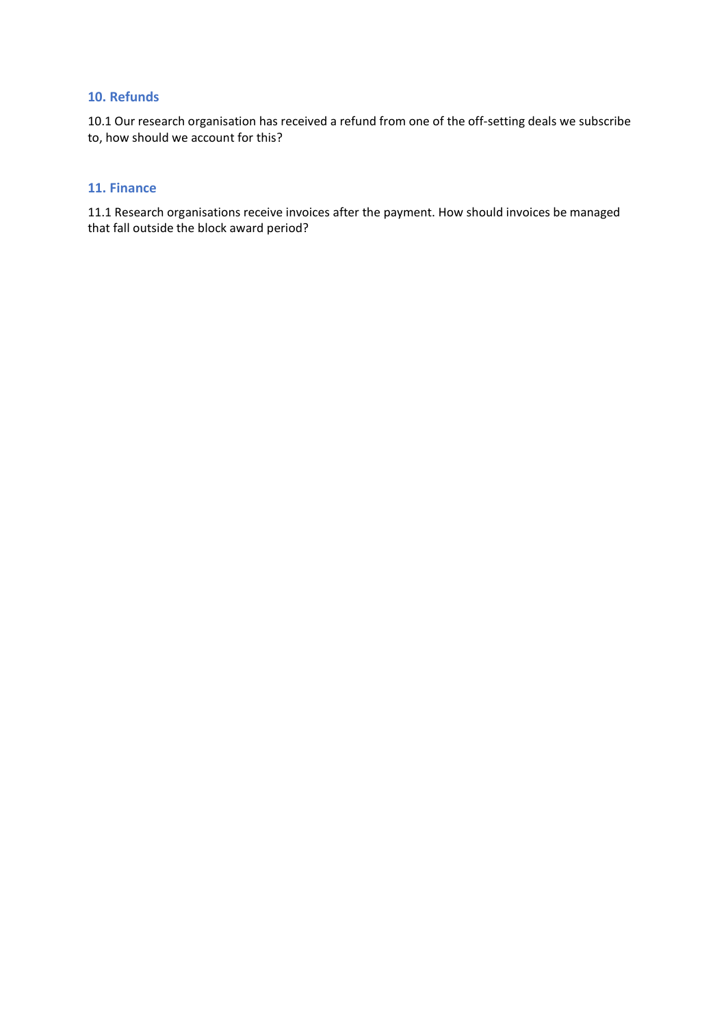## **10. Refunds**

10.1 Our research organisation has received a refund from one of the off-setting deals we subscribe to, how should we account for this?

#### **11. Finance**

11.1 Research organisations receive invoices after the payment. How should invoices be managed that fall outside the block award period?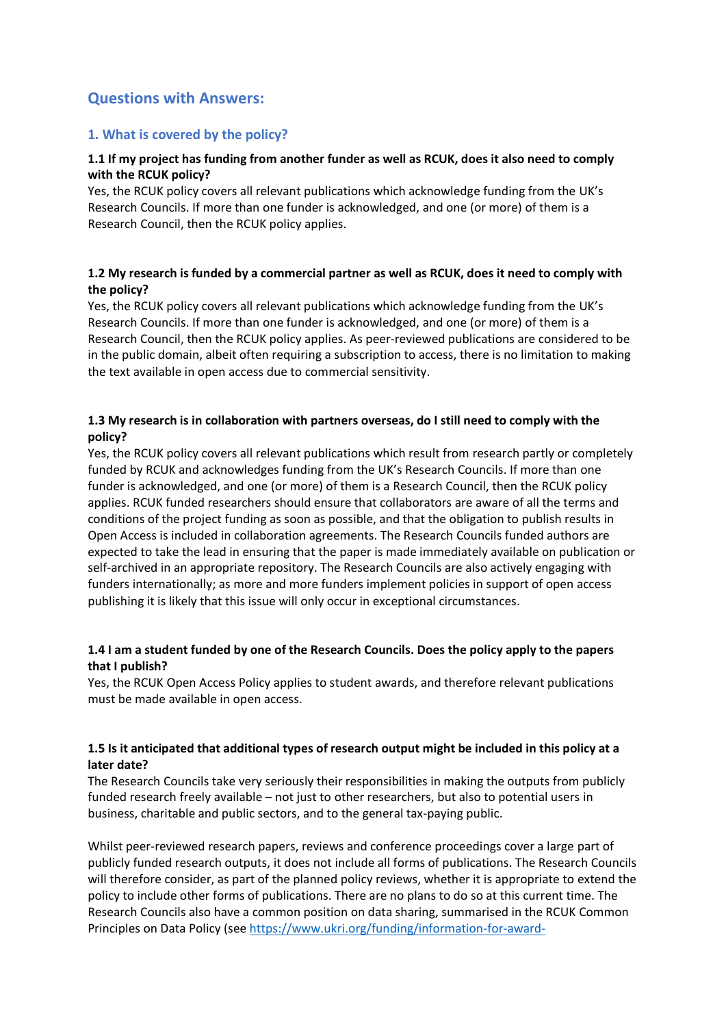# **Questions with Answers:**

## **1. What is covered by the policy?**

## **1.1 If my project has funding from another funder as well as RCUK, does it also need to comply with the RCUK policy?**

Yes, the RCUK policy covers all relevant publications which acknowledge funding from the UK's Research Councils. If more than one funder is acknowledged, and one (or more) of them is a Research Council, then the RCUK policy applies.

## **1.2 My research is funded by a commercial partner as well as RCUK, does it need to comply with the policy?**

Yes, the RCUK policy covers all relevant publications which acknowledge funding from the UK's Research Councils. If more than one funder is acknowledged, and one (or more) of them is a Research Council, then the RCUK policy applies. As peer-reviewed publications are considered to be in the public domain, albeit often requiring a subscription to access, there is no limitation to making the text available in open access due to commercial sensitivity.

## **1.3 My research is in collaboration with partners overseas, do I still need to comply with the policy?**

Yes, the RCUK policy covers all relevant publications which result from research partly or completely funded by RCUK and acknowledges funding from the UK's Research Councils. If more than one funder is acknowledged, and one (or more) of them is a Research Council, then the RCUK policy applies. RCUK funded researchers should ensure that collaborators are aware of all the terms and conditions of the project funding as soon as possible, and that the obligation to publish results in Open Access is included in collaboration agreements. The Research Councils funded authors are expected to take the lead in ensuring that the paper is made immediately available on publication or self-archived in an appropriate repository. The Research Councils are also actively engaging with funders internationally; as more and more funders implement policies in support of open access publishing it is likely that this issue will only occur in exceptional circumstances.

## **1.4 I am a student funded by one of the Research Councils. Does the policy apply to the papers that I publish?**

Yes, the RCUK Open Access Policy applies to student awards, and therefore relevant publications must be made available in open access.

## **1.5 Is it anticipated that additional types of research output might be included in this policy at a later date?**

The Research Councils take very seriously their responsibilities in making the outputs from publicly funded research freely available – not just to other researchers, but also to potential users in business, charitable and public sectors, and to the general tax-paying public.

Whilst peer-reviewed research papers, reviews and conference proceedings cover a large part of publicly funded research outputs, it does not include all forms of publications. The Research Councils will therefore consider, as part of the planned policy reviews, whether it is appropriate to extend the policy to include other forms of publications. There are no plans to do so at this current time. The Research Councils also have a common position on data sharing, summarised in the RCUK Common Principles on Data Policy (see [https://www.ukri.org/funding/information-for-award-](https://www.ukri.org/funding/information-for-award-holders/datapolicy/common-principles-on-data-policy/)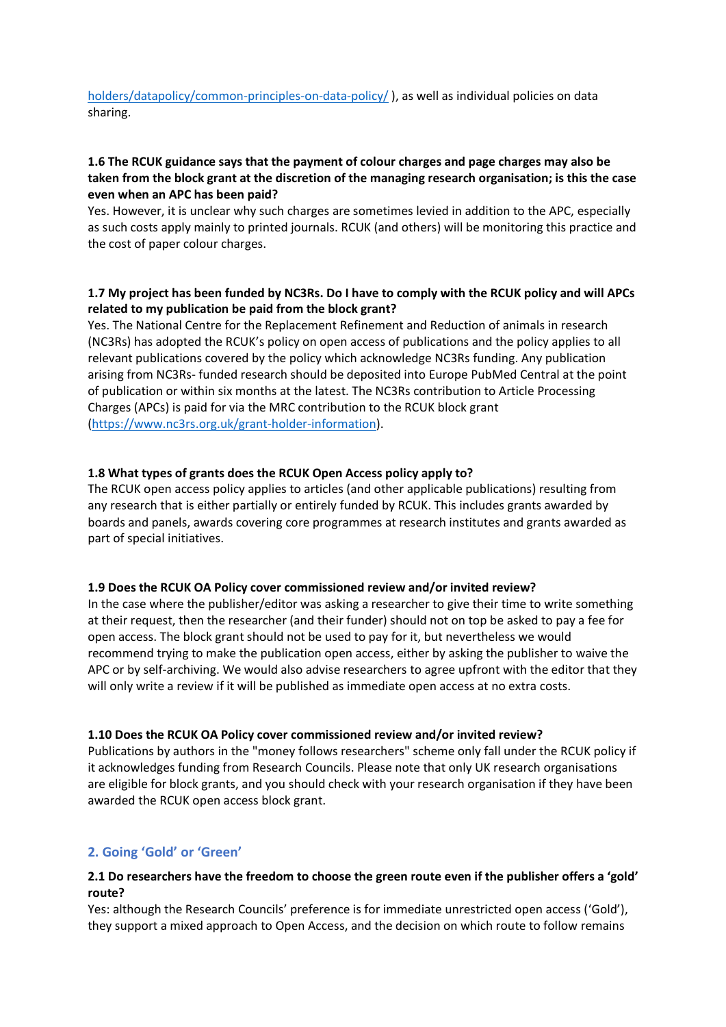## [holders/datapolicy/common-principles-on-data-policy/](https://www.ukri.org/funding/information-for-award-holders/datapolicy/common-principles-on-data-policy/) ), as well as individual policies on data sharing.

## **1.6 The RCUK guidance says that the payment of colour charges and page charges may also be taken from the block grant at the discretion of the managing research organisation; is this the case even when an APC has been paid?**

Yes. However, it is unclear why such charges are sometimes levied in addition to the APC, especially as such costs apply mainly to printed journals. RCUK (and others) will be monitoring this practice and the cost of paper colour charges.

# **1.7 My project has been funded by NC3Rs. Do I have to comply with the RCUK policy and will APCs related to my publication be paid from the block grant?**

Yes. The National Centre for the Replacement Refinement and Reduction of animals in research (NC3Rs) has adopted the RCUK's policy on open access of publications and the policy applies to all relevant publications covered by the policy which acknowledge NC3Rs funding. Any publication arising from NC3Rs- funded research should be deposited into Europe PubMed Central at the point of publication or within six months at the latest. The NC3Rs contribution to Article Processing Charges (APCs) is paid for via the MRC contribution to the RCUK block grant [\(https://www.nc3rs.org.uk/grant-holder-information\)](https://www.nc3rs.org.uk/grant-holder-information).

## **1.8 What types of grants does the RCUK Open Access policy apply to?**

The RCUK open access policy applies to articles (and other applicable publications) resulting from any research that is either partially or entirely funded by RCUK. This includes grants awarded by boards and panels, awards covering core programmes at research institutes and grants awarded as part of special initiatives.

#### **1.9 Does the RCUK OA Policy cover commissioned review and/or invited review?**

In the case where the publisher/editor was asking a researcher to give their time to write something at their request, then the researcher (and their funder) should not on top be asked to pay a fee for open access. The block grant should not be used to pay for it, but nevertheless we would recommend trying to make the publication open access, either by asking the publisher to waive the APC or by self-archiving. We would also advise researchers to agree upfront with the editor that they will only write a review if it will be published as immediate open access at no extra costs.

#### **1.10 Does the RCUK OA Policy cover commissioned review and/or invited review?**

Publications by authors in the "money follows researchers" scheme only fall under the RCUK policy if it acknowledges funding from Research Councils. Please note that only UK research organisations are eligible for block grants, and you should check with your research organisation if they have been awarded the RCUK open access block grant.

# **2. Going 'Gold' or 'Green'**

## **2.1 Do researchers have the freedom to choose the green route even if the publisher offers a 'gold' route?**

Yes: although the Research Councils' preference is for immediate unrestricted open access ('Gold'), they support a mixed approach to Open Access, and the decision on which route to follow remains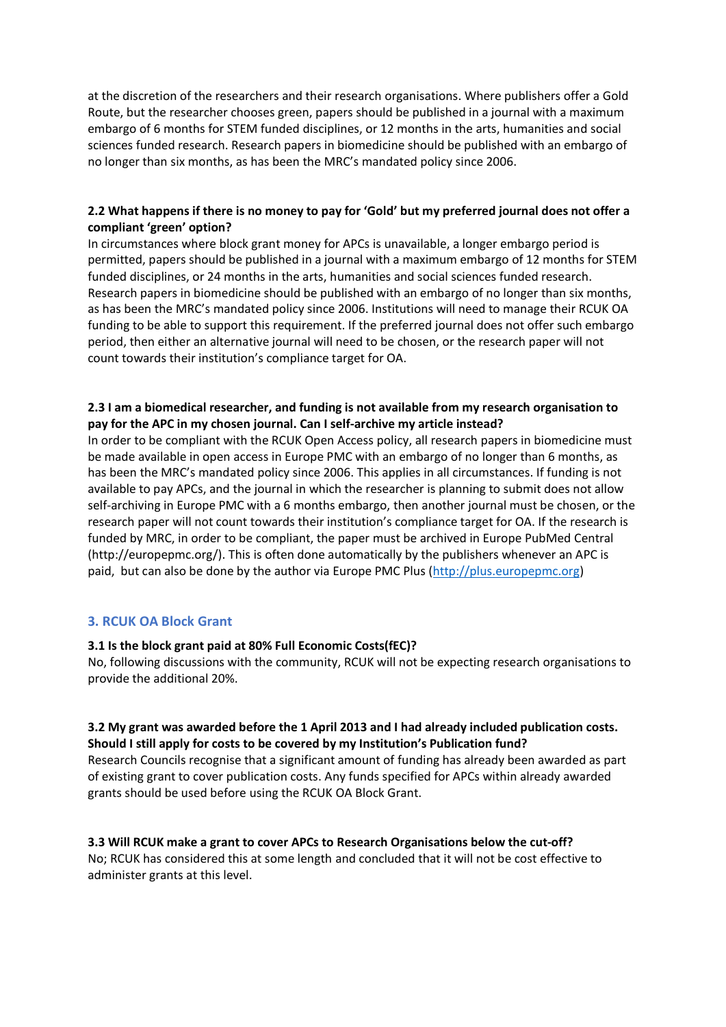at the discretion of the researchers and their research organisations. Where publishers offer a Gold Route, but the researcher chooses green, papers should be published in a journal with a maximum embargo of 6 months for STEM funded disciplines, or 12 months in the arts, humanities and social sciences funded research. Research papers in biomedicine should be published with an embargo of no longer than six months, as has been the MRC's mandated policy since 2006.

# **2.2 What happens if there is no money to pay for 'Gold' but my preferred journal does not offer a compliant 'green' option?**

In circumstances where block grant money for APCs is unavailable, a longer embargo period is permitted, papers should be published in a journal with a maximum embargo of 12 months for STEM funded disciplines, or 24 months in the arts, humanities and social sciences funded research. Research papers in biomedicine should be published with an embargo of no longer than six months, as has been the MRC's mandated policy since 2006. Institutions will need to manage their RCUK OA funding to be able to support this requirement. If the preferred journal does not offer such embargo period, then either an alternative journal will need to be chosen, or the research paper will not count towards their institution's compliance target for OA.

## **2.3 I am a biomedical researcher, and funding is not available from my research organisation to pay for the APC in my chosen journal. Can I self-archive my article instead?**

In order to be compliant with the RCUK Open Access policy, all research papers in biomedicine must be made available in open access in Europe PMC with an embargo of no longer than 6 months, as has been the MRC's mandated policy since 2006. This applies in all circumstances. If funding is not available to pay APCs, and the journal in which the researcher is planning to submit does not allow self-archiving in Europe PMC with a 6 months embargo, then another journal must be chosen, or the research paper will not count towards their institution's compliance target for OA. If the research is funded by MRC, in order to be compliant, the paper must be archived in Europe PubMed Central (http://europepmc.org/). This is often done automatically by the publishers whenever an APC is paid, but can also be done by the author via Europe PMC Plus [\(http://plus.europepmc.org\)](http://plus.europepmc.org/)

# **3. RCUK OA Block Grant**

#### **3.1 Is the block grant paid at 80% Full Economic Costs(fEC)?**

No, following discussions with the community, RCUK will not be expecting research organisations to provide the additional 20%.

#### **3.2 My grant was awarded before the 1 April 2013 and I had already included publication costs. Should I still apply for costs to be covered by my Institution's Publication fund?**

Research Councils recognise that a significant amount of funding has already been awarded as part of existing grant to cover publication costs. Any funds specified for APCs within already awarded grants should be used before using the RCUK OA Block Grant.

# **3.3 Will RCUK make a grant to cover APCs to Research Organisations below the cut-off?**

No; RCUK has considered this at some length and concluded that it will not be cost effective to administer grants at this level.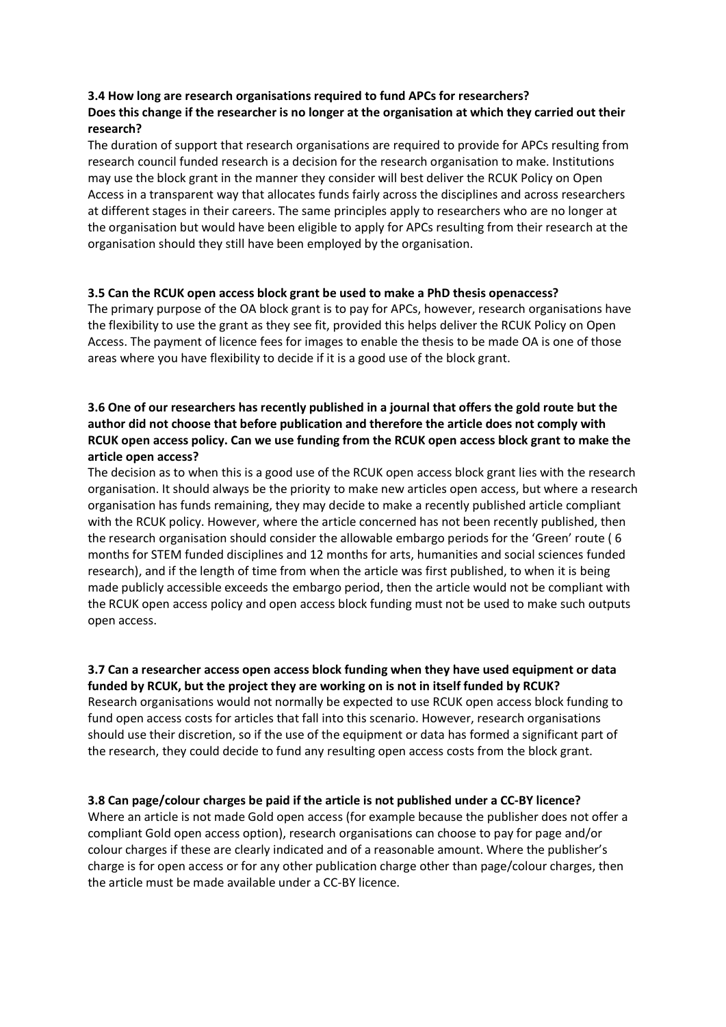# **3.4 How long are research organisations required to fund APCs for researchers?**

# **Does this change if the researcher is no longer at the organisation at which they carried out their research?**

The duration of support that research organisations are required to provide for APCs resulting from research council funded research is a decision for the research organisation to make. Institutions may use the block grant in the manner they consider will best deliver the RCUK Policy on Open Access in a transparent way that allocates funds fairly across the disciplines and across researchers at different stages in their careers. The same principles apply to researchers who are no longer at the organisation but would have been eligible to apply for APCs resulting from their research at the organisation should they still have been employed by the organisation.

## **3.5 Can the RCUK open access block grant be used to make a PhD thesis openaccess?**

The primary purpose of the OA block grant is to pay for APCs, however, research organisations have the flexibility to use the grant as they see fit, provided this helps deliver the RCUK Policy on Open Access. The payment of licence fees for images to enable the thesis to be made OA is one of those areas where you have flexibility to decide if it is a good use of the block grant.

# **3.6 One of our researchers has recently published in a journal that offers the gold route but the author did not choose that before publication and therefore the article does not comply with RCUK open access policy. Can we use funding from the RCUK open access block grant to make the article open access?**

The decision as to when this is a good use of the RCUK open access block grant lies with the research organisation. It should always be the priority to make new articles open access, but where a research organisation has funds remaining, they may decide to make a recently published article compliant with the RCUK policy. However, where the article concerned has not been recently published, then the research organisation should consider the allowable embargo periods for the 'Green' route ( 6 months for STEM funded disciplines and 12 months for arts, humanities and social sciences funded research), and if the length of time from when the article was first published, to when it is being made publicly accessible exceeds the embargo period, then the article would not be compliant with the RCUK open access policy and open access block funding must not be used to make such outputs open access.

# **3.7 Can a researcher access open access block funding when they have used equipment or data**

**funded by RCUK, but the project they are working on is not in itself funded by RCUK?** Research organisations would not normally be expected to use RCUK open access block funding to fund open access costs for articles that fall into this scenario. However, research organisations should use their discretion, so if the use of the equipment or data has formed a significant part of the research, they could decide to fund any resulting open access costs from the block grant.

# **3.8 Can page/colour charges be paid if the article is not published under a CC-BY licence?**

Where an article is not made Gold open access (for example because the publisher does not offer a compliant Gold open access option), research organisations can choose to pay for page and/or colour charges if these are clearly indicated and of a reasonable amount. Where the publisher's charge is for open access or for any other publication charge other than page/colour charges, then the article must be made available under a CC-BY licence.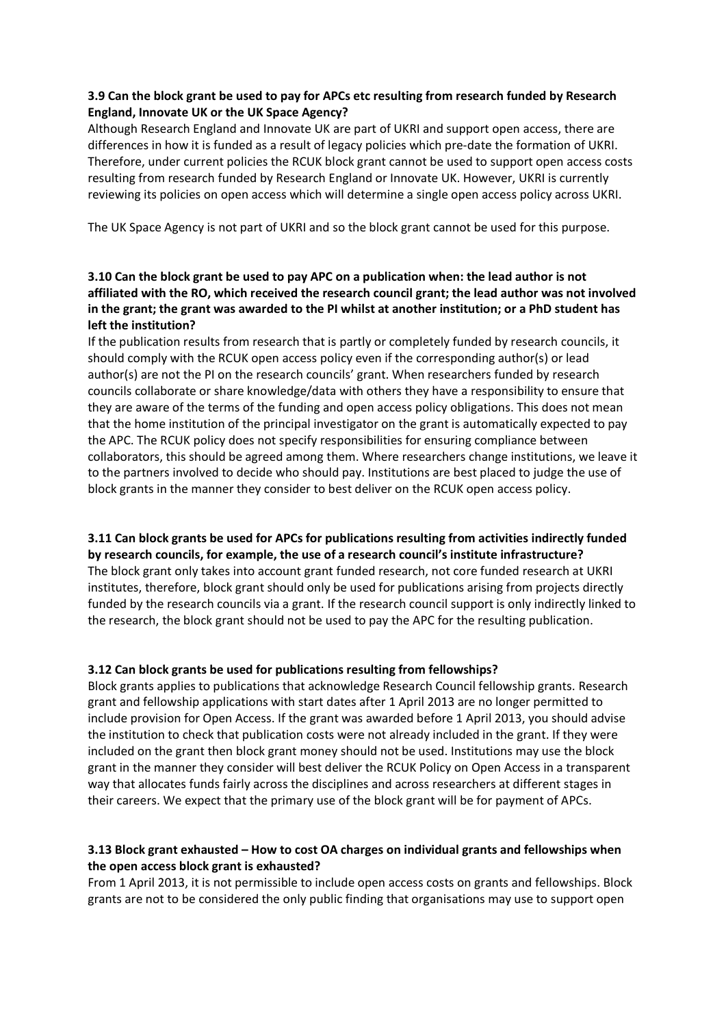# **3.9 Can the block grant be used to pay for APCs etc resulting from research funded by Research England, Innovate UK or the UK Space Agency?**

Although Research England and Innovate UK are part of UKRI and support open access, there are differences in how it is funded as a result of legacy policies which pre-date the formation of UKRI. Therefore, under current policies the RCUK block grant cannot be used to support open access costs resulting from research funded by Research England or Innovate UK. However, UKRI is currently reviewing its policies on open access which will determine a single open access policy across UKRI.

The UK Space Agency is not part of UKRI and so the block grant cannot be used for this purpose.

# **3.10 Can the block grant be used to pay APC on a publication when: the lead author is not affiliated with the RO, which received the research council grant; the lead author was not involved in the grant; the grant was awarded to the PI whilst at another institution; or a PhD student has left the institution?**

If the publication results from research that is partly or completely funded by research councils, it should comply with the RCUK open access policy even if the corresponding author(s) or lead author(s) are not the PI on the research councils' grant. When researchers funded by research councils collaborate or share knowledge/data with others they have a responsibility to ensure that they are aware of the terms of the funding and open access policy obligations. This does not mean that the home institution of the principal investigator on the grant is automatically expected to pay the APC. The RCUK policy does not specify responsibilities for ensuring compliance between collaborators, this should be agreed among them. Where researchers change institutions, we leave it to the partners involved to decide who should pay. Institutions are best placed to judge the use of block grants in the manner they consider to best deliver on the RCUK open access policy.

#### **3.11 Can block grants be used for APCs for publications resulting from activities indirectly funded by research councils, for example, the use of a research council's institute infrastructure?**

The block grant only takes into account grant funded research, not core funded research at UKRI institutes, therefore, block grant should only be used for publications arising from projects directly funded by the research councils via a grant. If the research council support is only indirectly linked to the research, the block grant should not be used to pay the APC for the resulting publication.

# **3.12 Can block grants be used for publications resulting from fellowships?**

Block grants applies to publications that acknowledge Research Council fellowship grants. Research grant and fellowship applications with start dates after 1 April 2013 are no longer permitted to include provision for Open Access. If the grant was awarded before 1 April 2013, you should advise the institution to check that publication costs were not already included in the grant. If they were included on the grant then block grant money should not be used. Institutions may use the block grant in the manner they consider will best deliver the RCUK Policy on Open Access in a transparent way that allocates funds fairly across the disciplines and across researchers at different stages in their careers. We expect that the primary use of the block grant will be for payment of APCs.

# **3.13 Block grant exhausted – How to cost OA charges on individual grants and fellowships when the open access block grant is exhausted?**

From 1 April 2013, it is not permissible to include open access costs on grants and fellowships. Block grants are not to be considered the only public finding that organisations may use to support open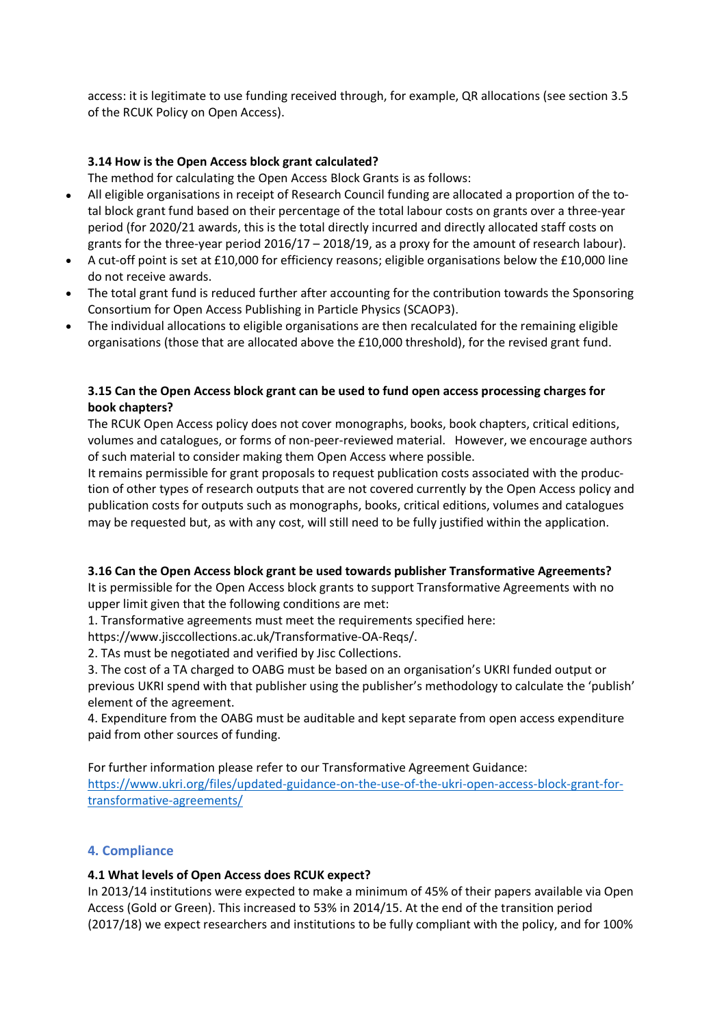access: it is legitimate to use funding received through, for example, QR allocations (see section 3.5 of the RCUK Policy on Open Access).

## **3.14 How is the Open Access block grant calculated?**

The method for calculating the Open Access Block Grants is as follows:

- All eligible organisations in receipt of Research Council funding are allocated a proportion of the total block grant fund based on their percentage of the total labour costs on grants over a three-year period (for 2020/21 awards, this is the total directly incurred and directly allocated staff costs on grants for the three-year period 2016/17 – 2018/19, as a proxy for the amount of research labour).
- A cut-off point is set at £10,000 for efficiency reasons; eligible organisations below the £10,000 line do not receive awards.
- The total grant fund is reduced further after accounting for the contribution towards the Sponsoring Consortium for Open Access Publishing in Particle Physics (SCAOP3).
- The individual allocations to eligible organisations are then recalculated for the remaining eligible organisations (those that are allocated above the £10,000 threshold), for the revised grant fund.

## **3.15 Can the Open Access block grant can be used to fund open access processing charges for book chapters?**

The RCUK Open Access policy does not cover monographs, books, book chapters, critical editions, volumes and catalogues, or forms of non-peer-reviewed material. However, we encourage authors of such material to consider making them Open Access where possible.

It remains permissible for grant proposals to request publication costs associated with the production of other types of research outputs that are not covered currently by the Open Access policy and publication costs for outputs such as monographs, books, critical editions, volumes and catalogues may be requested but, as with any cost, will still need to be fully justified within the application.

#### **3.16 Can the Open Access block grant be used towards publisher Transformative Agreements?**

It is permissible for the Open Access block grants to support Transformative Agreements with no upper limit given that the following conditions are met:

1. Transformative agreements must meet the requirements specified here:

https://www.jisccollections.ac.uk/Transformative-OA-Reqs/.

2. TAs must be negotiated and verified by Jisc Collections.

3. The cost of a TA charged to OABG must be based on an organisation's UKRI funded output or previous UKRI spend with that publisher using the publisher's methodology to calculate the 'publish' element of the agreement.

4. Expenditure from the OABG must be auditable and kept separate from open access expenditure paid from other sources of funding.

For further information please refer to our Transformative Agreement Guidance: [https://www.ukri.org/files/updated-guidance-on-the-use-of-the-ukri-open-access-block-grant-for](https://www.ukri.org/files/updated-guidance-on-the-use-of-the-ukri-open-access-block-grant-for-transformative-agreements/)[transformative-agreements/](https://www.ukri.org/files/updated-guidance-on-the-use-of-the-ukri-open-access-block-grant-for-transformative-agreements/)

# **4. Compliance**

#### **4.1 What levels of Open Access does RCUK expect?**

In 2013/14 institutions were expected to make a minimum of 45% of their papers available via Open Access (Gold or Green). This increased to 53% in 2014/15. At the end of the transition period (2017/18) we expect researchers and institutions to be fully compliant with the policy, and for 100%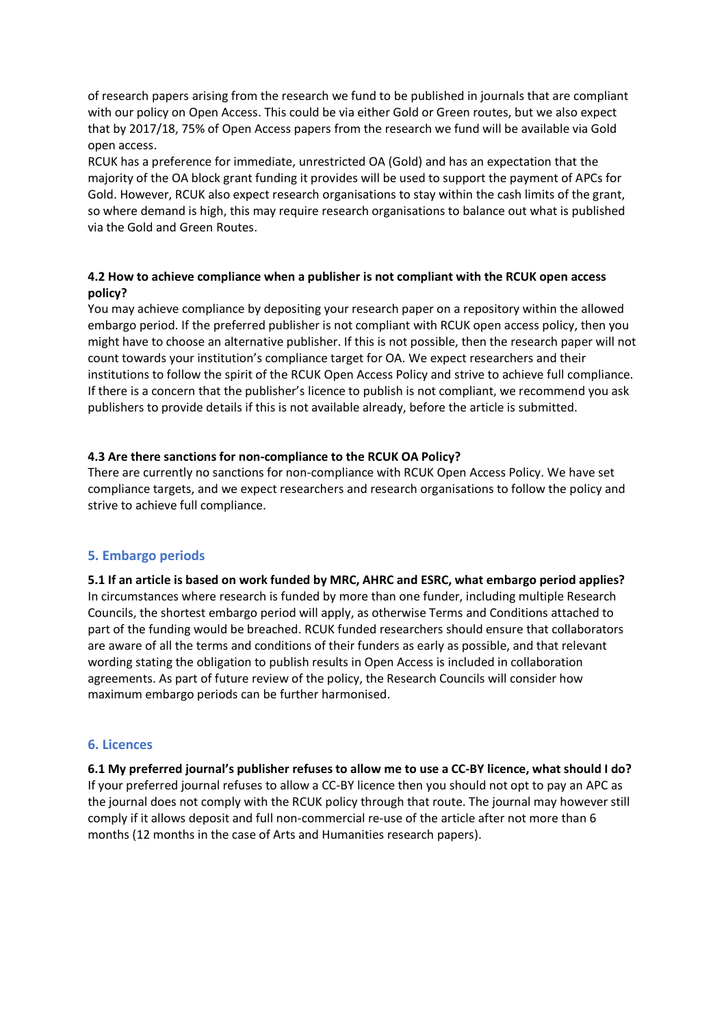of research papers arising from the research we fund to be published in journals that are compliant with our policy on Open Access. This could be via either Gold or Green routes, but we also expect that by 2017/18, 75% of Open Access papers from the research we fund will be available via Gold open access.

RCUK has a preference for immediate, unrestricted OA (Gold) and has an expectation that the majority of the OA block grant funding it provides will be used to support the payment of APCs for Gold. However, RCUK also expect research organisations to stay within the cash limits of the grant, so where demand is high, this may require research organisations to balance out what is published via the Gold and Green Routes.

## **4.2 How to achieve compliance when a publisher is not compliant with the RCUK open access policy?**

You may achieve compliance by depositing your research paper on a repository within the allowed embargo period. If the preferred publisher is not compliant with RCUK open access policy, then you might have to choose an alternative publisher. If this is not possible, then the research paper will not count towards your institution's compliance target for OA. We expect researchers and their institutions to follow the spirit of the RCUK Open Access Policy and strive to achieve full compliance. If there is a concern that the publisher's licence to publish is not compliant, we recommend you ask publishers to provide details if this is not available already, before the article is submitted.

## **4.3 Are there sanctions for non-compliance to the RCUK OA Policy?**

There are currently no sanctions for non-compliance with RCUK Open Access Policy. We have set compliance targets, and we expect researchers and research organisations to follow the policy and strive to achieve full compliance.

# **5. Embargo periods**

**5.1 If an article is based on work funded by MRC, AHRC and ESRC, what embargo period applies?**  In circumstances where research is funded by more than one funder, including multiple Research Councils, the shortest embargo period will apply, as otherwise Terms and Conditions attached to part of the funding would be breached. RCUK funded researchers should ensure that collaborators are aware of all the terms and conditions of their funders as early as possible, and that relevant wording stating the obligation to publish results in Open Access is included in collaboration agreements. As part of future review of the policy, the Research Councils will consider how maximum embargo periods can be further harmonised.

#### **6. Licences**

**6.1 My preferred journal's publisher refuses to allow me to use a CC-BY licence, what should I do?**  If your preferred journal refuses to allow a CC-BY licence then you should not opt to pay an APC as the journal does not comply with the RCUK policy through that route. The journal may however still comply if it allows deposit and full non-commercial re-use of the article after not more than 6 months (12 months in the case of Arts and Humanities research papers).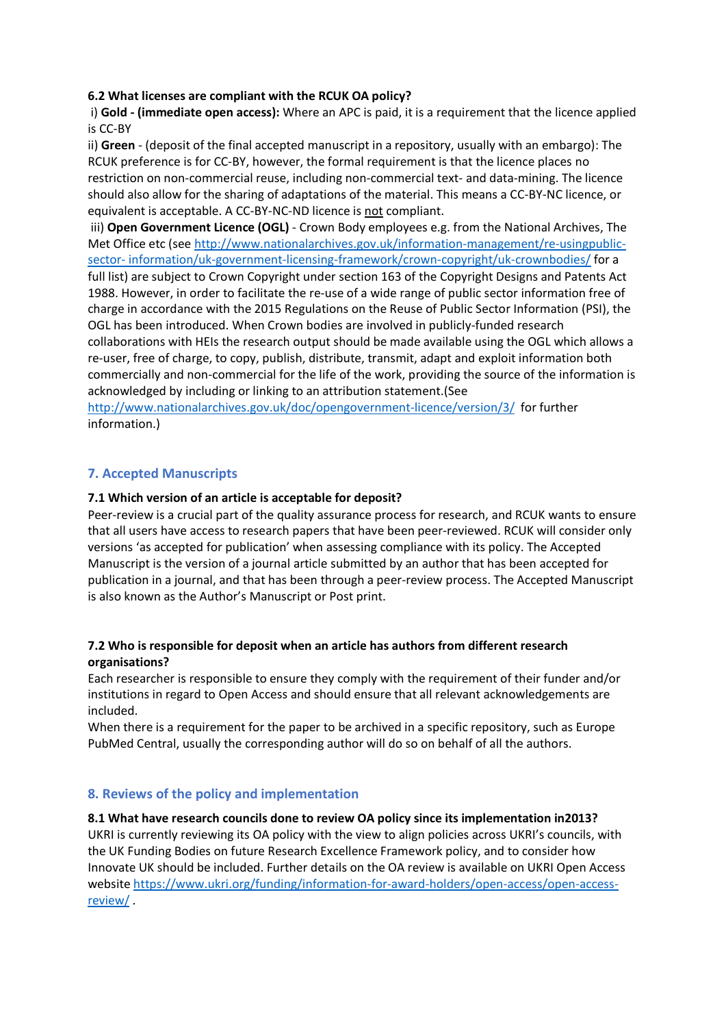## **6.2 What licenses are compliant with the RCUK OA policy?**

i) **Gold - (immediate open access):** Where an APC is paid, it is a requirement that the licence applied is CC-BY

ii) **Green** - (deposit of the final accepted manuscript in a repository, usually with an embargo): The RCUK preference is for CC-BY, however, the formal requirement is that the licence places no restriction on non-commercial reuse, including non-commercial text- and data-mining. The licence should also allow for the sharing of adaptations of the material. This means a CC-BY-NC licence, or equivalent is acceptable. A CC-BY-NC-ND licence is not compliant.

iii) **Open Government Licence (OGL)** - Crown Body employees e.g. from the National Archives, The Met Office etc (see [http://www.nationalarchives.gov.uk/information-management/re-usingpublic](http://www.nationalarchives.gov.uk/information-management/re-usingpublic-%20sector-%20information/uk-government-licensing-framework/crown-copyright/uk-crownbodies/)sector- [information/uk-government-licensing-framework/crown-copyright/uk-crownbodies/](http://www.nationalarchives.gov.uk/information-management/re-usingpublic-%20sector-%20information/uk-government-licensing-framework/crown-copyright/uk-crownbodies/) for a full list) are subject to Crown Copyright under section 163 of the Copyright Designs and Patents Act 1988. However, in order to facilitate the re-use of a wide range of public sector information free of charge in accordance with the 2015 Regulations on the Reuse of Public Sector Information (PSI), the OGL has been introduced. When Crown bodies are involved in publicly-funded research collaborations with HEIs the research output should be made available using the OGL which allows a re-user, free of charge, to copy, publish, distribute, transmit, adapt and exploit information both commercially and non-commercial for the life of the work, providing the source of the information is acknowledged by including or linking to an attribution statement.(See

<http://www.nationalarchives.gov.uk/doc/opengovernment-licence/version/3/>for further information.)

# **7. Accepted Manuscripts**

## **7.1 Which version of an article is acceptable for deposit?**

Peer-review is a crucial part of the quality assurance process for research, and RCUK wants to ensure that all users have access to research papers that have been peer-reviewed. RCUK will consider only versions 'as accepted for publication' when assessing compliance with its policy. The Accepted Manuscript is the version of a journal article submitted by an author that has been accepted for publication in a journal, and that has been through a peer-review process. The Accepted Manuscript is also known as the Author's Manuscript or Post print.

## **7.2 Who is responsible for deposit when an article has authors from different research organisations?**

Each researcher is responsible to ensure they comply with the requirement of their funder and/or institutions in regard to Open Access and should ensure that all relevant acknowledgements are included.

When there is a requirement for the paper to be archived in a specific repository, such as Europe PubMed Central, usually the corresponding author will do so on behalf of all the authors.

#### **8. Reviews of the policy and implementation**

#### **8.1 What have research councils done to review OA policy since its implementation in2013?**

UKRI is currently reviewing its OA policy with the view to align policies across UKRI's councils, with the UK Funding Bodies on future Research Excellence Framework policy, and to consider how Innovate UK should be included. Further details on the OA review is available on UKRI Open Access websit[e https://www.ukri.org/funding/information-for-award-holders/open-access/open-access](https://www.ukri.org/funding/information-for-award-holders/open-access/open-access-review/)[review/](https://www.ukri.org/funding/information-for-award-holders/open-access/open-access-review/) .